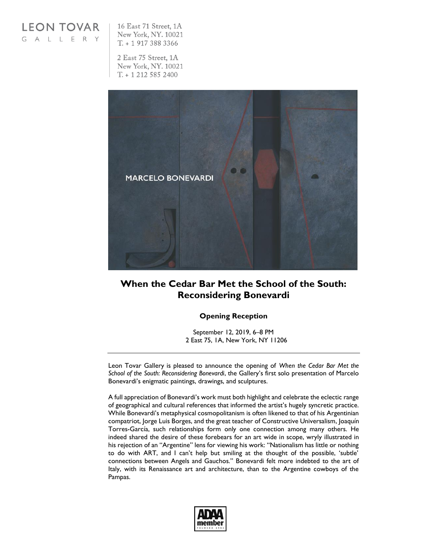**LEON TOVAR** GALLERY

16 East 71 Street, 1A New York, NY. 10021  $T. + 19173883366$ 

2 East 75 Street, 1A New York, NY. 10021  $T. + 12125852400$ 



## **When the Cedar Bar Met the School of the South: Reconsidering Bonevardi**

## **Opening Reception**

September 12, 2019, 6–8 PM 2 East 75, 1A, New York, NY 11206

Leon Tovar Gallery is pleased to announce the opening of *When the Cedar Bar Met the School of the South: Reconsidering Bonevardi*, the Gallery's first solo presentation of Marcelo Bonevardi's enigmatic paintings, drawings, and sculptures.

A full appreciation of Bonevardi's work must both highlight and celebrate the eclectic range of geographical and cultural references that informed the artist's hugely syncretic practice. While Bonevardi's metaphysical cosmopolitanism is often likened to that of his Argentinian compatriot, Jorge Luis Borges, and the great teacher of Constructive Universalism, Joaquín Torres-García, such relationships form only one connection among many others. He indeed shared the desire of these forebears for an art wide in scope, wryly illustrated in his rejection of an "Argentine" lens for viewing his work: "Nationalism has little or nothing to do with ART, and I can't help but smiling at the thought of the possible, 'subtle' connections between Angels and Gauchos." Bonevardi felt more indebted to the art of Italy, with its Renaissance art and architecture, than to the Argentine cowboys of the Pampas.